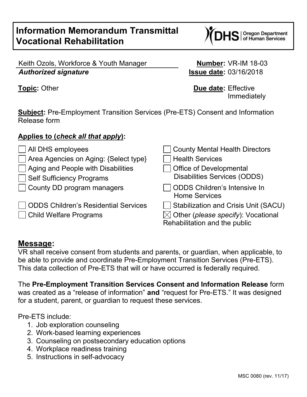# **Information Memorandum Transmittal Vocational Rehabilitation**

S | Oregon Department<br>S | of Human Services

Keith Ozols, Workforce & Youth Manager **Number:** VR-IM 18-03 *Authorized signature* **Issue date:** 03/16/2018

**Topic:** Other **Due date:** Effective Immediately

**Subject:** Pre-Employment Transition Services (Pre-ETS) Consent and Information Release form

#### **Applies to (***check all that apply***):**

| $\Box$ All DHS employees                    | □ County Mental Health Directors                                                |
|---------------------------------------------|---------------------------------------------------------------------------------|
| Area Agencies on Aging: {Select type}       | <b>Health Services</b>                                                          |
| $\Box$ Aging and People with Disabilities   | Office of Developmental                                                         |
| <b>Self Sufficiency Programs</b>            | <b>Disabilities Services (ODDS)</b>                                             |
| County DD program managers                  | ODDS Children's Intensive In<br><b>Home Services</b>                            |
| <b>ODDS Children's Residential Services</b> | Stabilization and Crisis Unit (SACU)                                            |
| Child Welfare Programs                      | $\boxtimes$ Other (please specify): Vocational<br>Rehabilitation and the public |

### **Message:**

VR shall receive consent from students and parents, or guardian, when applicable, to be able to provide and coordinate Pre-Employment Transition Services (Pre-ETS). This data collection of Pre-ETS that will or have occurred is federally required.

The **Pre-Employment Transition Services Consent and Information Release** form was created as a "release of information" **and** "request for Pre-ETS." It was designed for a student, parent, or guardian to request these services.

Pre-ETS include:

- 1. Job exploration counseling
- 2. Work-based learning experiences
- 3. Counseling on postsecondary education options
- 4. Workplace readiness training
- 5. Instructions in self-advocacy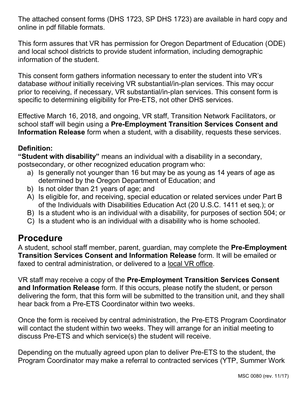The attached consent forms (DHS 1723, SP DHS 1723) are available in hard copy and online in pdf fillable formats.

This form assures that VR has permission for Oregon Department of Education (ODE) and local school districts to provide student information, including demographic information of the student.

This consent form gathers information necessary to enter the student into VR's database *without* initially receiving VR substantial/in-plan services. This may occur prior to receiving, if necessary, VR substantial/in-plan services. This consent form is specific to determining eligibility for Pre-ETS, not other DHS services.

Effective March 16, 2018, and ongoing, VR staff, Transition Network Facilitators, or school staff will begin using a **Pre-Employment Transition Services Consent and Information Release** form when a student, with a disability, requests these services.

### **Definition:**

**"Student with disability"** means an individual with a disability in a secondary, postsecondary, or other recognized education program who:

- a) Is generally not younger than 16 but may be as young as 14 years of age as determined by the Oregon Department of Education; and
- b) Is not older than 21 years of age; and
- A) Is eligible for, and receiving, special education or related services under Part B of the Individuals with Disabilities Education Act (20 U.S.C. 1411 et seq.); or
- B) Is a student who is an individual with a disability, for purposes of section 504; or
- C) Is a student who is an individual with a disability who is home schooled.

## **Procedure**

A student, school staff member, parent, guardian, may complete the **Pre-Employment Transition Services Consent and Information Release** form. It will be emailed or faxed to central administration, or delivered to a local VR office.

VR staff may receive a copy of the **Pre-Employment Transition Services Consent and Information Release** form. If this occurs, please notify the student, or person delivering the form, that this form will be submitted to the transition unit, and they shall hear back from a Pre-ETS Coordinator within two weeks.

Once the form is received by central administration, the Pre-ETS Program Coordinator will contact the student within two weeks. They will arrange for an initial meeting to discuss Pre-ETS and which service(s) the student will receive.

Depending on the mutually agreed upon plan to deliver Pre-ETS to the student, the Program Coordinator may make a referral to contracted services (YTP, Summer Work